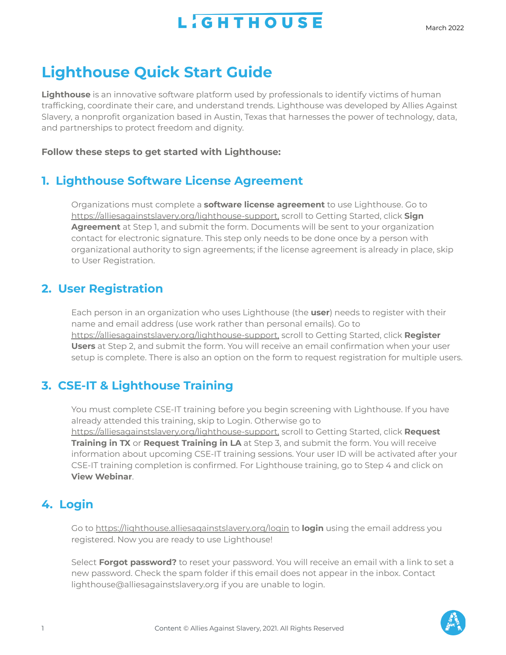## **L'GHTHOUSE**

## **Lighthouse Quick Start Guide**

**Lighthouse** is an innovative software platform used by professionals to identify victims of human trafficking, coordinate their care, and understand trends. Lighthouse was developed by Allies Against Slavery, a nonprofit organization based in Austin, Texas that harnesses the power of technology, data, and partnerships to protect freedom and dignity.

### **Follow these steps to get started with Lighthouse:**

## **1. Lighthouse Software License Agreement**

Organizations must complete a **software license agreement** to use Lighthouse. Go t[o](http://alliesagainstslavery.org/lighthouse-support) [https://alliesagainstslavery.org/lighthouse](http://alliesagainstslavery.org/lighthouse-support)[-support](http://alliesagainstslavery.org/lighthouse/support), scroll to Getting Started, click **Sign Agreement** at Step 1, and submit the form. Documents will be sent to your organization contact for electronic signature. This step only needs to be done once by a person with organizational authority to sign agreements; if the license agreement is already in place, skip to User Registration.

## **2. User Registration**

Each person in an organization who uses Lighthouse (the **user**) needs to register with their name and email address (use work rather than personal emails). Go t[o](http://alliesagainstslavery.org/lighthouse-support) [https://alliesagainstslavery.org/lighthouse](http://alliesagainstslavery.org/lighthouse-support)[-support](http://alliesagainstslavery.org/lighthouse/support), scroll to Getting Started, click **Register Users** at Step 2, and submit the form. You will receive an email confirmation when your user setup is complete. There is also an option on the form to request registration for multiple users.

## **3. CSE-IT & Lighthouse Training**

You must complete CSE-IT training before you begin screening with Lighthouse. If you have already attended this training, skip to Login. Otherwise go t[o](http://alliesagainstslavery.org/lighthouse-support) [https://alliesagainstslavery.org/lighthouse](http://alliesagainstslavery.org/lighthouse-support)[-support](http://alliesagainstslavery.org/lighthouse/support), scroll to Getting Started, click **Request Training in TX** or **Request Training in LA** at Step 3, and submit the form. You will receive information about upcoming CSE-IT training sessions. Your user ID will be activated after your CSE-IT training completion is confirmed. For Lighthouse training, go to Step 4 and click on **View Webinar**.

## **4. Login**

Go to <https://lighthouse.alliesagainstslavery.org/login> to **login** using the email address you registered. Now you are ready to use Lighthouse!

Select **Forgot password?** to reset your password. You will receive an email with a link to set a new password. Check the spam folder if this email does not appear in the inbox. Contact lighthouse@alliesagainstslavery.org if you are unable to login.